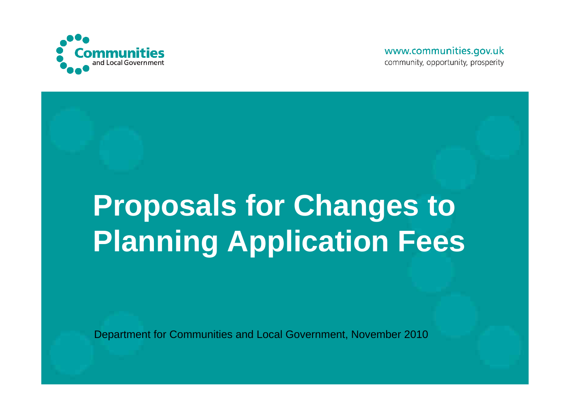

www.communities.gov.uk community, opportunity, prosperity

# **Proposals for Changes to Planning Application Fees**

Department for Communities and Local Government, November 2010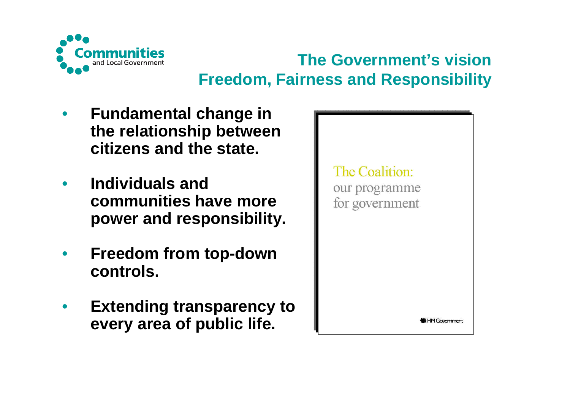

# **The Government's vision Freedom, Fairness and Responsibility**

- $\bullet$  **Fundamental change in the relationship between citizens and the state.**
- $\bullet$  **Individuals and communities have more power and responsibility.**
- $\bullet$  **Freedom from top-down controls.**
- $\bullet$  **Extending transparency to every area of public life.**

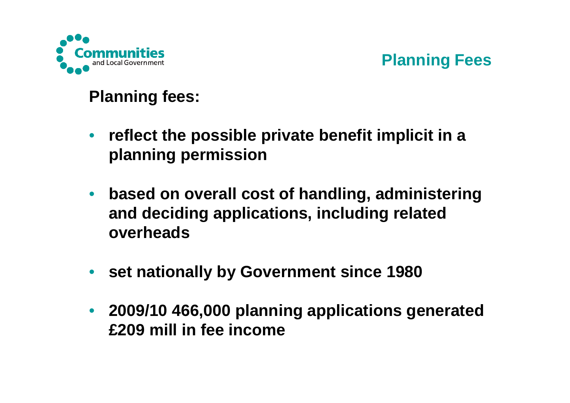

#### **Planning Fees**

#### **Planning fees:**

- $\bullet$  **reflect the possible private benefit implicit in a planning permission**
- $\bullet$  **based on overall cost of handling, administering and deciding applications, including related overheads**
- **set nationally by Government since 1980**
- $\bullet$  **2009/10 466,000 planning applications generated £209 mill in fee income**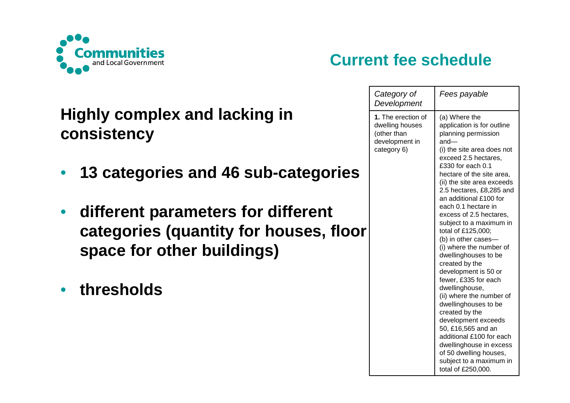

### **Highly complex and lacking inconsistency**

- $\bullet$ **13 categories and 46 sub-categories**
- • **different parameters for different categories (quantity for houses, floor space for other buildings)**
- •**thresholds**

## **Current fee schedule**

| Category of<br>Development                                                            | Fees payable                                                                                                                                                                                                                                                                                                                                                                                                                                                                                                                                                                                                                                                                                                                                                                                 |
|---------------------------------------------------------------------------------------|----------------------------------------------------------------------------------------------------------------------------------------------------------------------------------------------------------------------------------------------------------------------------------------------------------------------------------------------------------------------------------------------------------------------------------------------------------------------------------------------------------------------------------------------------------------------------------------------------------------------------------------------------------------------------------------------------------------------------------------------------------------------------------------------|
| 1. The erection of<br>dwelling houses<br>(other than<br>development in<br>category 6) | (a) Where the<br>application is for outline<br>planning permission<br>and—<br>(i) the site area does not<br>exceed 2.5 hectares,<br>£330 for each 0.1<br>hectare of the site area,<br>(ii) the site area exceeds<br>2.5 hectares, £8,285 and<br>an additional £100 for<br>each 0.1 hectare in<br>excess of 2.5 hectares,<br>subject to a maximum in<br>total of £125,000;<br>(b) in other cases-<br>(i) where the number of<br>dwellinghouses to be<br>created by the<br>development is 50 or<br>fewer, £335 for each<br>dwellinghouse,<br>(ii) where the number of<br>dwellinghouses to be<br>created by the<br>development exceeds<br>50, £16,565 and an<br>additional £100 for each<br>dwellinghouse in excess<br>of 50 dwelling houses,<br>subject to a maximum in<br>total of £250,000. |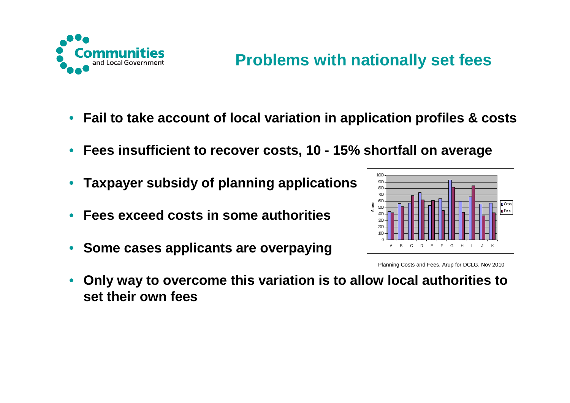

- $\bullet$ **Fail to take account of local variation in application profiles & costs**
- •**Fees insufficient to recover costs, 10 - 15% shortfall on average**
- •**Taxpayer subsidy of planning applications**
- •**Fees exceed costs in some authorities**
- •**Some cases applicants are overpaying**



Planning Costs and Fees, Arup for DCLG, Nov 2010

• **Only way to overcome this variation is to allow local authorities to set their own fees**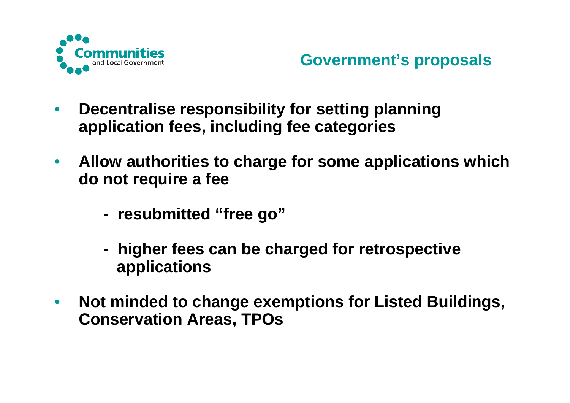

- $\bullet$  **Decentralise responsibility for setting planning application fees, including fee categories**
- $\bullet$  **Allow authorities to charge for some applications which do not require a fee**
	- **resubmitted "free go"**
	- **higher fees can be charged for retrospective applications**
- $\bullet$  **Not minded to change exemptions for Listed Buildings, Conservation Areas, TPOs**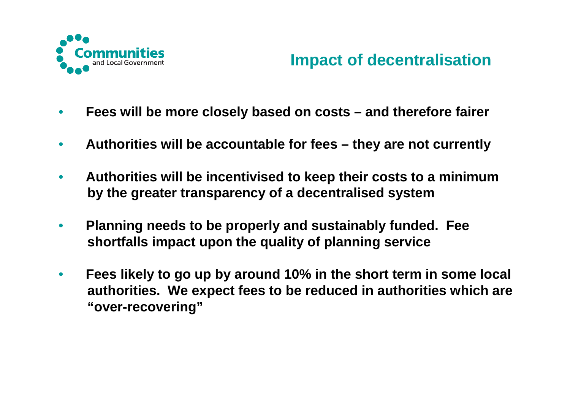

#### **Impact of decentralisation**

- $\bullet$ **Fees will be more closely based on costs – and therefore fairer**
- $\bullet$ **Authorities will be accountable for fees – they are not currently**
- $\bullet$  **Authorities will be incentivised to keep their costs to a minimum by the greater transparency of a decentralised system**
- $\bullet$  **Planning needs to be properly and sustainably funded. Feeshortfalls impact upon the quality of planning service**
- $\bullet$  **Fees likely to go up by around 10% in the short term in some local authorities. We expect fees to be reduced in authorities which are "over-recovering"**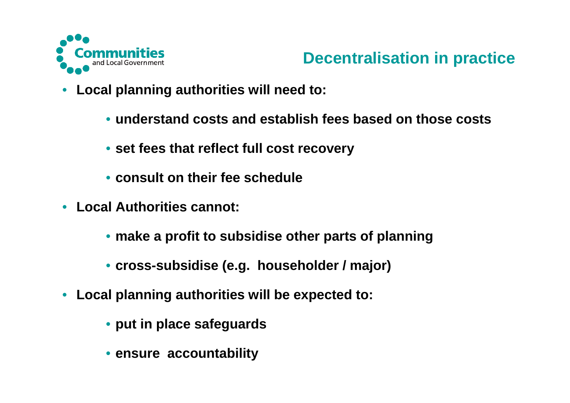

#### **Decentralisation in practice**

- $\bullet$  **Local planning authorities will need to:**
	- **understand costs and establish fees based on those costs**
	- **set fees that reflect full cost recovery**
	- **consult on their fee schedule**
- **Local Authorities cannot:**
	- **make a profit to subsidise other parts of planning**
	- **cross-subsidise (e.g. householder / major)**
- **Local planning authorities will be expected to:** 
	- **put in place safeguards**
	- **ensure accountability**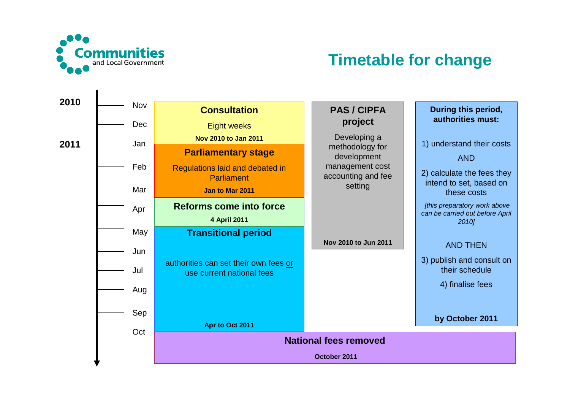

#### **Timetable for change**

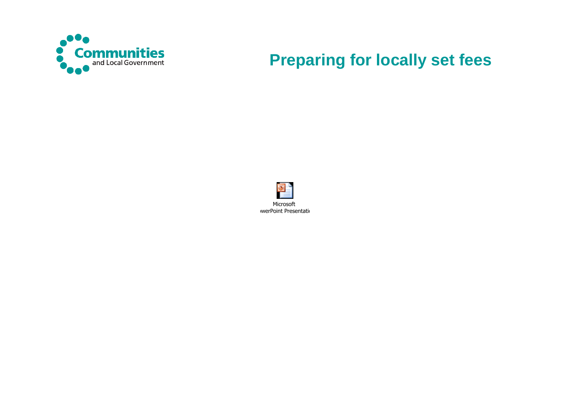

#### **Preparing for locally set fees**

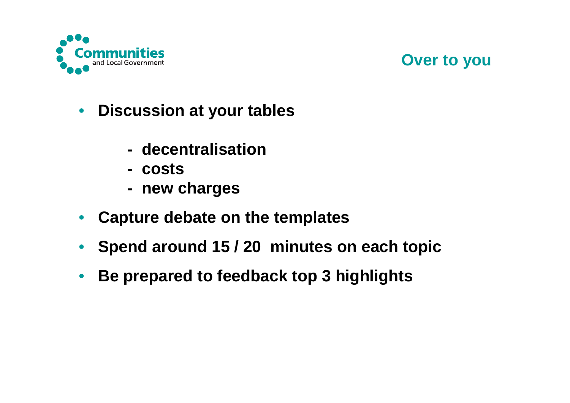

#### **Over to you**

- $\bullet$  **Discussion at your tables**
	- **decentralisation**
	- **- costs**
	- **new charges**
- $\bullet$ **Capture debate on the templates**
- $\bullet$ **Spend around 15 / 20 minutes on each topic**
- $\bullet$ **Be prepared to feedback top 3 highlights**